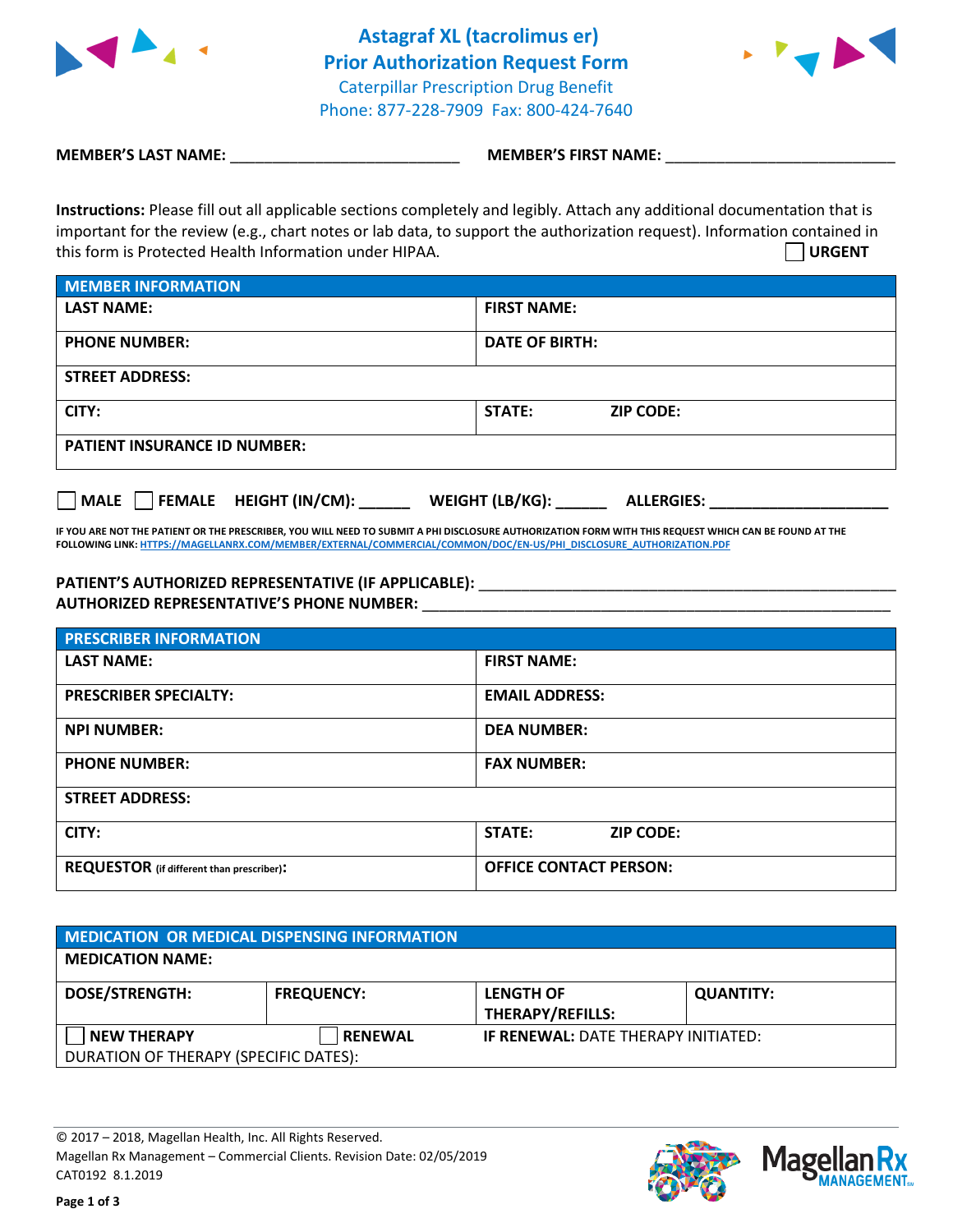



**MEMBER'S LAST NAME:**  $\blacksquare$  **MEMBER'S FIRST NAME:**  $\blacksquare$ 

**Instructions:** Please fill out all applicable sections completely and legibly. Attach any additional documentation that is important for the review (e.g., chart notes or lab data, to support the authorization request). Information contained in this form is Protected Health Information under HIPAA. **URGENT**

| <b>MEMBER INFORMATION</b>           |                                   |  |  |
|-------------------------------------|-----------------------------------|--|--|
| <b>LAST NAME:</b>                   | <b>FIRST NAME:</b>                |  |  |
| <b>PHONE NUMBER:</b>                | <b>DATE OF BIRTH:</b>             |  |  |
| <b>STREET ADDRESS:</b>              |                                   |  |  |
| CITY:                               | <b>STATE:</b><br><b>ZIP CODE:</b> |  |  |
| <b>PATIENT INSURANCE ID NUMBER:</b> |                                   |  |  |

**MALE FEMALE HEIGHT (IN/CM): \_\_\_\_\_\_ WEIGHT (LB/KG): \_\_\_\_\_\_ ALLERGIES: \_\_\_\_\_\_\_\_\_\_\_\_\_\_\_\_\_\_\_\_\_**

**IF YOU ARE NOT THE PATIENT OR THE PRESCRIBER, YOU WILL NEED TO SUBMIT A PHI DISCLOSURE AUTHORIZATION FORM WITH THIS REQUEST WHICH CAN BE FOUND AT THE FOLLOWING LINK[: HTTPS://MAGELLANRX.COM/MEMBER/EXTERNAL/COMMERCIAL/COMMON/DOC/EN-US/PHI\\_DISCLOSURE\\_AUTHORIZATION.PDF](https://magellanrx.com/member/external/commercial/common/doc/en-us/PHI_Disclosure_Authorization.pdf)**

## PATIENT'S AUTHORIZED REPRESENTATIVE (IF APPLICABLE): **\_\_\_\_\_\_\_\_\_\_\_\_\_\_\_\_\_\_\_\_\_\_\_\_\_\_ AUTHORIZED REPRESENTATIVE'S PHONE NUMBER:** \_\_\_\_\_\_\_\_\_\_\_\_\_\_\_\_\_\_\_\_\_\_\_\_\_\_\_\_\_\_\_\_\_\_\_\_\_\_\_\_\_\_\_\_\_\_\_\_\_\_\_\_\_\_\_

| <b>PRESCRIBER INFORMATION</b>                    |                               |  |  |
|--------------------------------------------------|-------------------------------|--|--|
| <b>LAST NAME:</b>                                | <b>FIRST NAME:</b>            |  |  |
| <b>PRESCRIBER SPECIALTY:</b>                     | <b>EMAIL ADDRESS:</b>         |  |  |
| <b>NPI NUMBER:</b>                               | <b>DEA NUMBER:</b>            |  |  |
| <b>PHONE NUMBER:</b>                             | <b>FAX NUMBER:</b>            |  |  |
| <b>STREET ADDRESS:</b>                           |                               |  |  |
| CITY:                                            | STATE:<br><b>ZIP CODE:</b>    |  |  |
| <b>REQUESTOR</b> (if different than prescriber): | <b>OFFICE CONTACT PERSON:</b> |  |  |

| MEDICATION OR MEDICAL DISPENSING INFORMATION |                   |                                             |                  |  |  |
|----------------------------------------------|-------------------|---------------------------------------------|------------------|--|--|
| <b>MEDICATION NAME:</b>                      |                   |                                             |                  |  |  |
| <b>DOSE/STRENGTH:</b>                        | <b>FREQUENCY:</b> | <b>LENGTH OF</b><br><b>THERAPY/REFILLS:</b> | <b>QUANTITY:</b> |  |  |
| <b>NEW THERAPY</b>                           | <b>RENEWAL</b>    | <b>IF RENEWAL: DATE THERAPY INITIATED:</b>  |                  |  |  |
| DURATION OF THERAPY (SPECIFIC DATES):        |                   |                                             |                  |  |  |

© 2017 – 2018, Magellan Health, Inc. All Rights Reserved. Magellan Rx Management – Commercial Clients. Revision Date: 02/05/2019 CAT0192 8.1.2019



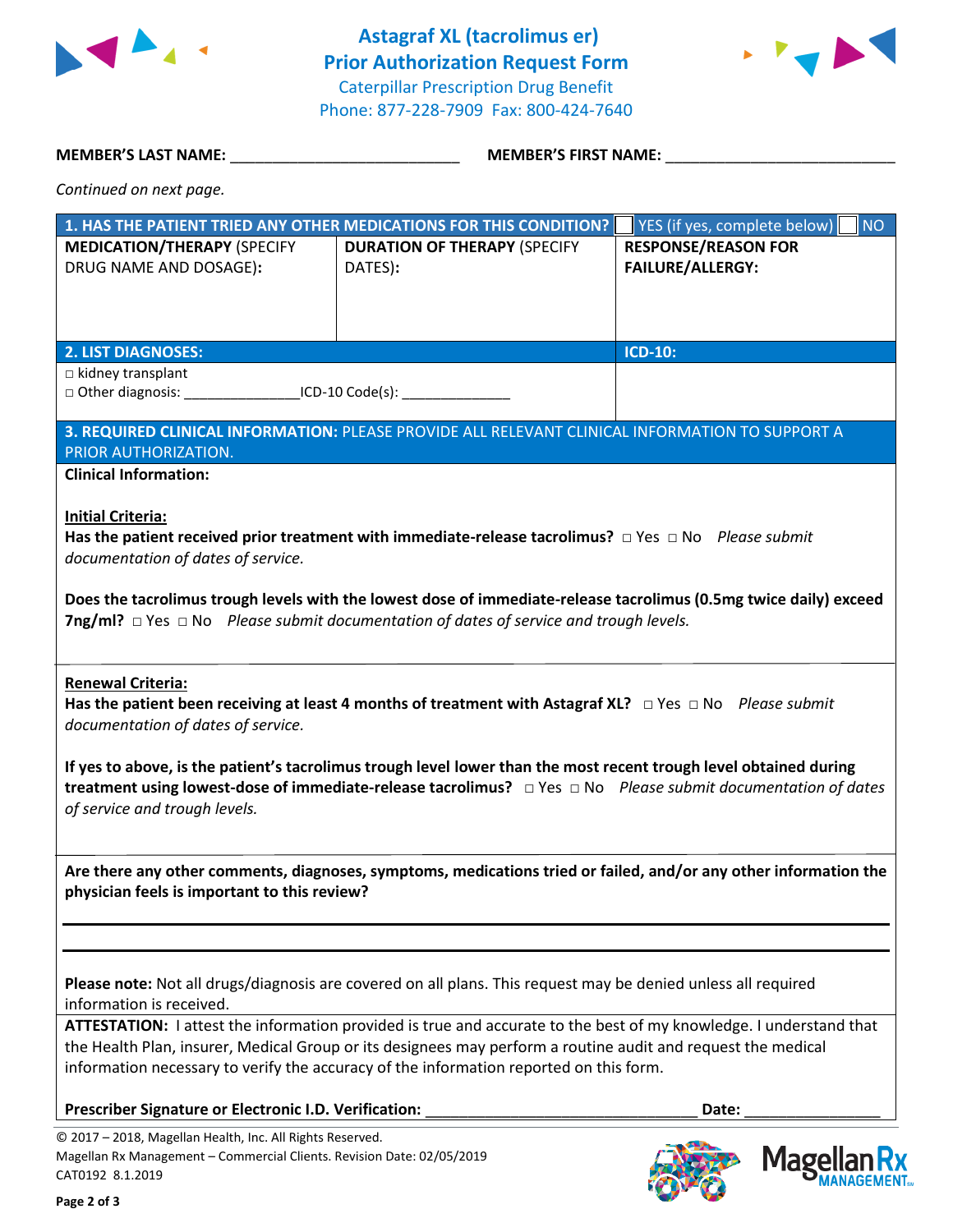



## **MEMBER'S LAST NAME:**  $\blacksquare$  **MEMBER'S FIRST NAME:**  $\blacksquare$

| Continued on next page. |  |  |  |
|-------------------------|--|--|--|
|-------------------------|--|--|--|

|                                                                                                                                                         | 1. HAS THE PATIENT TRIED ANY OTHER MEDICATIONS FOR THIS CONDITION?                                                                                                                                                                                                                                                                                                | YES (if yes, complete below)<br><b>NO</b>             |
|---------------------------------------------------------------------------------------------------------------------------------------------------------|-------------------------------------------------------------------------------------------------------------------------------------------------------------------------------------------------------------------------------------------------------------------------------------------------------------------------------------------------------------------|-------------------------------------------------------|
| <b>MEDICATION/THERAPY (SPECIFY</b><br>DRUG NAME AND DOSAGE):                                                                                            | <b>DURATION OF THERAPY (SPECIFY</b><br>DATES):                                                                                                                                                                                                                                                                                                                    | <b>RESPONSE/REASON FOR</b><br><b>FAILURE/ALLERGY:</b> |
| <b>2. LIST DIAGNOSES:</b>                                                                                                                               |                                                                                                                                                                                                                                                                                                                                                                   | <b>ICD-10:</b>                                        |
| $\Box$ kidney transplant<br>□ Other diagnosis: __________________ICD-10 Code(s): __________________________                                             |                                                                                                                                                                                                                                                                                                                                                                   |                                                       |
| PRIOR AUTHORIZATION.<br><b>Clinical Information:</b>                                                                                                    | 3. REQUIRED CLINICAL INFORMATION: PLEASE PROVIDE ALL RELEVANT CLINICAL INFORMATION TO SUPPORT A                                                                                                                                                                                                                                                                   |                                                       |
| <b>Initial Criteria:</b><br>documentation of dates of service.                                                                                          | Has the patient received prior treatment with immediate-release tacrolimus? $\Box$ Yes $\Box$ No Please submit<br>Does the tacrolimus trough levels with the lowest dose of immediate-release tacrolimus (0.5mg twice daily) exceed<br><b>7ng/ml?</b> $\Box$ Yes $\Box$ No Please submit documentation of dates of service and trough levels.                     |                                                       |
| <b>Renewal Criteria:</b><br>documentation of dates of service.                                                                                          | Has the patient been receiving at least 4 months of treatment with Astagraf XL? $\Box$ Yes $\Box$ No Please submit<br>If yes to above, is the patient's tacrolimus trough level lower than the most recent trough level obtained during<br>treatment using lowest-dose of immediate-release tacrolimus? $\Box$ Yes $\Box$ No Please submit documentation of dates |                                                       |
| of service and trough levels.                                                                                                                           | Are there any other comments, diagnoses, symptoms, medications tried or failed, and/or any other information the                                                                                                                                                                                                                                                  |                                                       |
| physician feels is important to this review?                                                                                                            |                                                                                                                                                                                                                                                                                                                                                                   |                                                       |
| information is received.                                                                                                                                | Please note: Not all drugs/diagnosis are covered on all plans. This request may be denied unless all required                                                                                                                                                                                                                                                     |                                                       |
|                                                                                                                                                         | ATTESTATION: I attest the information provided is true and accurate to the best of my knowledge. I understand that<br>the Health Plan, insurer, Medical Group or its designees may perform a routine audit and request the medical<br>information necessary to verify the accuracy of the information reported on this form.                                      |                                                       |
| Prescriber Signature or Electronic I.D. Verification:                                                                                                   |                                                                                                                                                                                                                                                                                                                                                                   | Date:                                                 |
| © 2017 - 2018, Magellan Health, Inc. All Rights Reserved.<br>Magellan Rx Management - Commercial Clients. Revision Date: 02/05/2019<br>CAT0192 8.1.2019 |                                                                                                                                                                                                                                                                                                                                                                   | Mage                                                  |